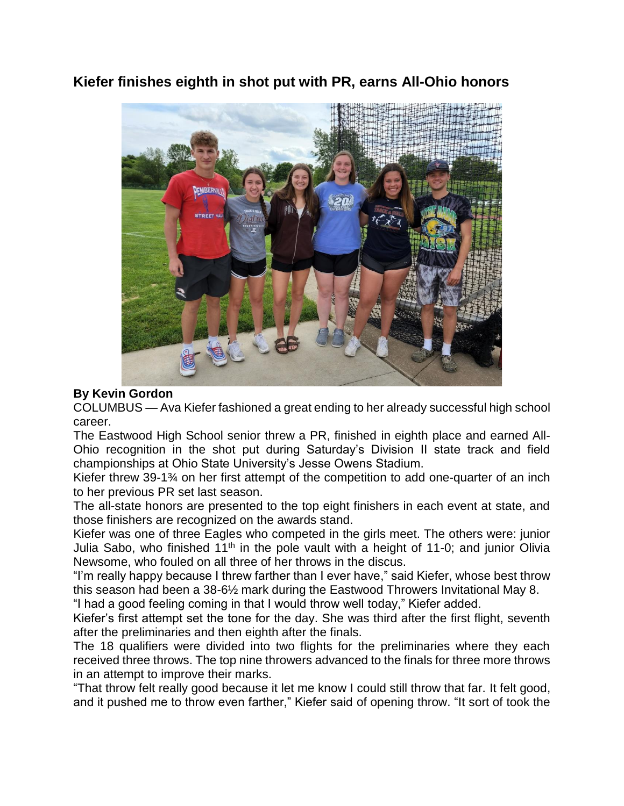**Kiefer finishes eighth in shot put with PR, earns All-Ohio honors**



## **By Kevin Gordon**

COLUMBUS — Ava Kiefer fashioned a great ending to her already successful high school career.

The Eastwood High School senior threw a PR, finished in eighth place and earned All-Ohio recognition in the shot put during Saturday's Division II state track and field championships at Ohio State University's Jesse Owens Stadium.

Kiefer threw 39-1¾ on her first attempt of the competition to add one-quarter of an inch to her previous PR set last season.

The all-state honors are presented to the top eight finishers in each event at state, and those finishers are recognized on the awards stand.

Kiefer was one of three Eagles who competed in the girls meet. The others were: junior Julia Sabo, who finished  $11<sup>th</sup>$  in the pole vault with a height of 11-0; and junior Olivia Newsome, who fouled on all three of her throws in the discus.

"I'm really happy because I threw farther than I ever have," said Kiefer, whose best throw this season had been a 38-6½ mark during the Eastwood Throwers Invitational May 8.

"I had a good feeling coming in that I would throw well today," Kiefer added.

Kiefer's first attempt set the tone for the day. She was third after the first flight, seventh after the preliminaries and then eighth after the finals.

The 18 qualifiers were divided into two flights for the preliminaries where they each received three throws. The top nine throwers advanced to the finals for three more throws in an attempt to improve their marks.

"That throw felt really good because it let me know I could still throw that far. It felt good, and it pushed me to throw even farther," Kiefer said of opening throw. "It sort of took the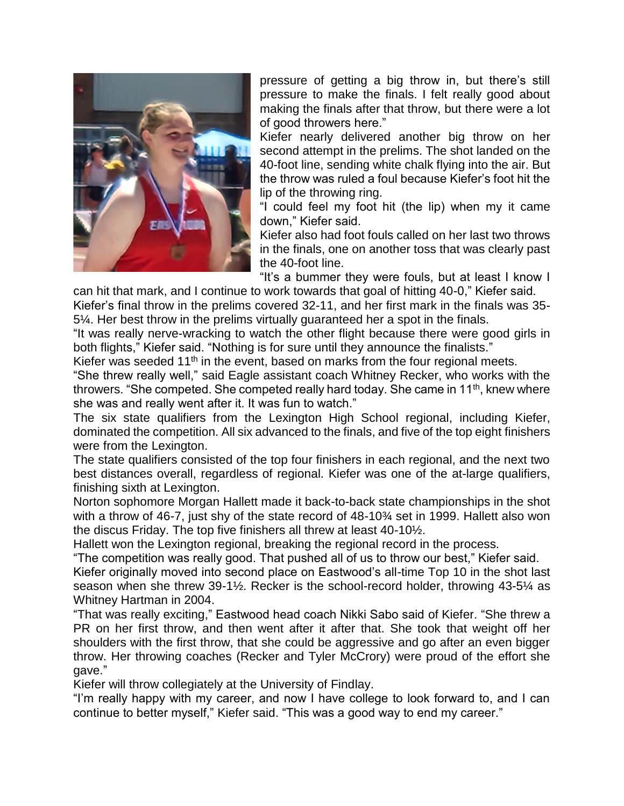

pressure of getting a big throw in, but there's still pressure to make the finals. I felt really good about making the finals after that throw, but there were a lot of good throwers here."

Kiefer nearly delivered another big throw on her second attempt in the prelims. The shot landed on the 40-foot line, sending white chalk flying into the air. But the throw was ruled a foul because Kiefer's foot hit the lip of the throwing ring.

"I could feel my foot hit (the lip) when my it came down," Kiefer said.

Kiefer also had foot fouls called on her last two throws in the finals, one on another toss that was clearly past the 40-foot line.

"It's a bummer they were fouls, but at least I know I

can hit that mark, and I continue to work towards that goal of hitting 40-0," Kiefer said. Kiefer's final throw in the prelims covered 32-11, and her first mark in the finals was 35- 5¼. Her best throw in the prelims virtually guaranteed her a spot in the finals.

"It was really nerve-wracking to watch the other flight because there were good girls in both flights," Kiefer said. "Nothing is for sure until they announce the finalists."

Kiefer was seeded 11<sup>th</sup> in the event, based on marks from the four regional meets.

"She threw really well," said Eagle assistant coach Whitney Recker, who works with the throwers. "She competed. She competed really hard today. She came in  $11<sup>th</sup>$ , knew where she was and really went after it. It was fun to watch."

The six state qualifiers from the Lexington High School regional, including Kiefer, dominated the competition. All six advanced to the finals, and five of the top eight finishers were from the Lexington.

The state qualifiers consisted of the top four finishers in each regional, and the next two best distances overall, regardless of regional. Kiefer was one of the at-large qualifiers, finishing sixth at Lexington.

Norton sophomore Morgan Hallett made it back-to-back state championships in the shot with a throw of 46-7, just shy of the state record of 48-10¾ set in 1999. Hallett also won the discus Friday. The top five finishers all threw at least 40-10½.

Hallett won the Lexington regional, breaking the regional record in the process.

"The competition was really good. That pushed all of us to throw our best," Kiefer said.

Kiefer originally moved into second place on Eastwood's all-time Top 10 in the shot last season when she threw 39-1½. Recker is the school-record holder, throwing 43-5¼ as Whitney Hartman in 2004.

"That was really exciting," Eastwood head coach Nikki Sabo said of Kiefer. "She threw a PR on her first throw, and then went after it after that. She took that weight off her shoulders with the first throw, that she could be aggressive and go after an even bigger throw. Her throwing coaches (Recker and Tyler McCrory) were proud of the effort she gave."

Kiefer will throw collegiately at the University of Findlay.

"I'm really happy with my career, and now I have college to look forward to, and I can continue to better myself," Kiefer said. "This was a good way to end my career."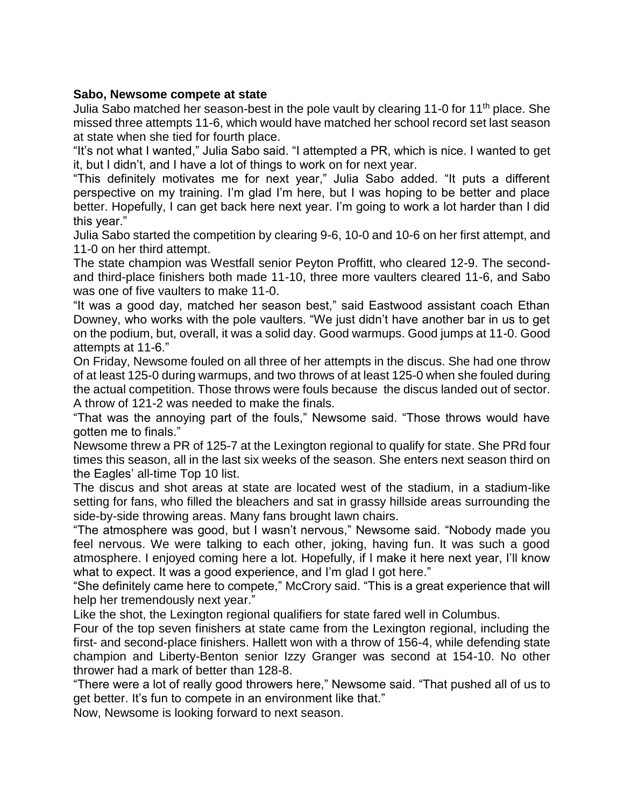## **Sabo, Newsome compete at state**

Julia Sabo matched her season-best in the pole vault by clearing 11-0 for 11<sup>th</sup> place. She missed three attempts 11-6, which would have matched her school record set last season at state when she tied for fourth place.

"It's not what I wanted," Julia Sabo said. "I attempted a PR, which is nice. I wanted to get it, but I didn't, and I have a lot of things to work on for next year.

"This definitely motivates me for next year," Julia Sabo added. "It puts a different perspective on my training. I'm glad I'm here, but I was hoping to be better and place better. Hopefully, I can get back here next year. I'm going to work a lot harder than I did this year."

Julia Sabo started the competition by clearing 9-6, 10-0 and 10-6 on her first attempt, and 11-0 on her third attempt.

The state champion was Westfall senior Peyton Proffitt, who cleared 12-9. The secondand third-place finishers both made 11-10, three more vaulters cleared 11-6, and Sabo was one of five vaulters to make 11-0.

"It was a good day, matched her season best," said Eastwood assistant coach Ethan Downey, who works with the pole vaulters. "We just didn't have another bar in us to get on the podium, but, overall, it was a solid day. Good warmups. Good jumps at 11-0. Good attempts at 11-6."

On Friday, Newsome fouled on all three of her attempts in the discus. She had one throw of at least 125-0 during warmups, and two throws of at least 125-0 when she fouled during the actual competition. Those throws were fouls because the discus landed out of sector. A throw of 121-2 was needed to make the finals.

"That was the annoying part of the fouls," Newsome said. "Those throws would have gotten me to finals."

Newsome threw a PR of 125-7 at the Lexington regional to qualify for state. She PRd four times this season, all in the last six weeks of the season. She enters next season third on the Eagles' all-time Top 10 list.

The discus and shot areas at state are located west of the stadium, in a stadium-like setting for fans, who filled the bleachers and sat in grassy hillside areas surrounding the side-by-side throwing areas. Many fans brought lawn chairs.

"The atmosphere was good, but I wasn't nervous," Newsome said. "Nobody made you feel nervous. We were talking to each other, joking, having fun. It was such a good atmosphere. I enjoyed coming here a lot. Hopefully, if I make it here next year, I'll know what to expect. It was a good experience, and I'm glad I got here."

"She definitely came here to compete," McCrory said. "This is a great experience that will help her tremendously next year."

Like the shot, the Lexington regional qualifiers for state fared well in Columbus.

Four of the top seven finishers at state came from the Lexington regional, including the first- and second-place finishers. Hallett won with a throw of 156-4, while defending state champion and Liberty-Benton senior Izzy Granger was second at 154-10. No other thrower had a mark of better than 128-8.

"There were a lot of really good throwers here," Newsome said. "That pushed all of us to get better. It's fun to compete in an environment like that."

Now, Newsome is looking forward to next season.